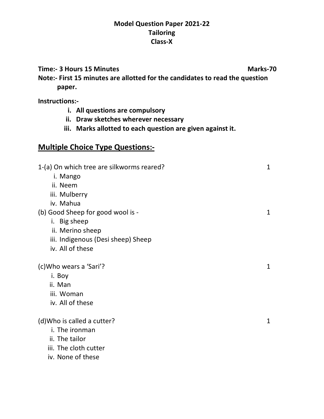#### **Model Question Paper 2021-22 Tailoring Class-X**

**Time:- 3 Hours 15 Minutes Marks-70** 

**Note:- First 15 minutes are allotted for the candidates to read the question paper.**

**Instructions:-**

- **i. All questions are compulsory**
- **ii. Draw sketches wherever necessary**
- **iii. Marks allotted to each question are given against it.**

# **Multiple Choice Type Questions:-**

| 1-(a) On which tree are silkworms reared? |              |  |
|-------------------------------------------|--------------|--|
| i. Mango                                  |              |  |
| ii. Neem                                  |              |  |
| iii. Mulberry                             |              |  |
| iv. Mahua                                 |              |  |
| (b) Good Sheep for good wool is -         | 1            |  |
| i. Big sheep                              |              |  |
| ii. Merino sheep                          |              |  |
| iii. Indigenous (Desi sheep) Sheep        |              |  |
| iv. All of these                          |              |  |
|                                           |              |  |
| (c) Who wears a 'Sari'?                   | 1            |  |
| i. Boy                                    |              |  |
| ii. Man                                   |              |  |
| iii. Woman                                |              |  |
| iv. All of these                          |              |  |
|                                           |              |  |
| (d) Who is called a cutter?               | $\mathbf{1}$ |  |
| i. The ironman                            |              |  |
| ii. The tailor                            |              |  |
| iii. The cloth cutter                     |              |  |
| iv. None of these                         |              |  |
|                                           |              |  |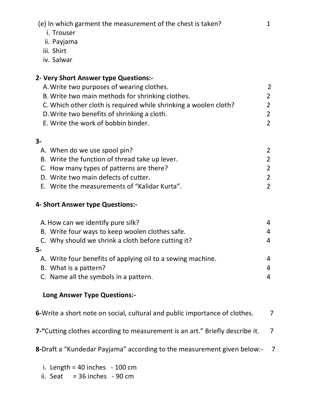(e) In which garment the measurement of the chest is taken? 1

- i. Trouser
- ii. Payjama
- iii. Shirt
- iv. Salwar

# **2- Very Short Answer type Questions:-**

| A. Write two purposes of wearing clothes.                        | $\mathcal{L}$ |
|------------------------------------------------------------------|---------------|
| B. Write two main methods for shrinking clothes.                 | $\mathcal{L}$ |
| C. Which other cloth is required while shrinking a woolen cloth? | $\mathcal{P}$ |
| D. Write two benefits of shrinking a cloth.                      | $\mathcal{P}$ |
| E. Write the work of bobbin binder.                              |               |

### **3-**

| A. When do we use spool pin?                   |               |
|------------------------------------------------|---------------|
| B. Write the function of thread take up lever. |               |
| C. How many types of patterns are there?       | $\mathcal{L}$ |
| D. Write two main defects of cutter.           | $\mathcal{L}$ |
| E. Write the measurements of "Kalidar Kurta".  |               |

### **4- Short Answer type Questions:-**

|     | A. How can we identify pure silk?                           | 4 |
|-----|-------------------------------------------------------------|---|
|     | B. Write four ways to keep woolen clothes safe.             | 4 |
|     | C. Why should we shrink a cloth before cutting it?          | 4 |
| - 5 |                                                             |   |
|     | A. Write four benefits of applying oil to a sewing machine. | 4 |
|     | B. What is a pattern?                                       | 4 |
|     | C. Name all the symbols in a pattern.                       | 4 |

## **Long Answer Type Questions:-**

**6-**Write a short note on social, cultural and public importance of clothes. 7

**7-"**Cutting clothes according to measurement is an art." Briefly describe it. 7

**8-**Draft a "Kundedar Payjama" according to the measurement given below:- 7

- i. Length =  $40$  inches  $100$  cm
- ii. Seat  $= 36$  inches  $-90$  cm